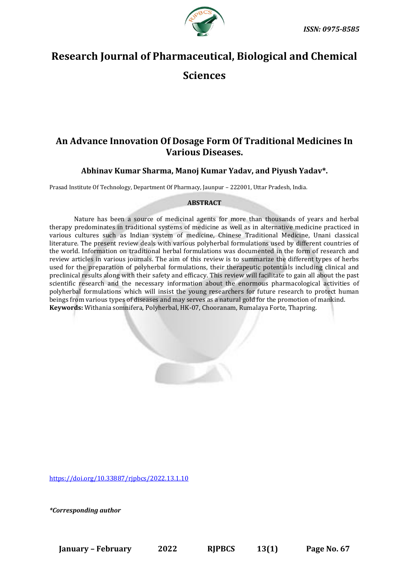

# **Research Journal of Pharmaceutical, Biological and Chemical**

## **Sciences**

## **An Advance Innovation Of Dosage Form Of Traditional Medicines In Various Diseases.**

### **Abhinav Kumar Sharma, Manoj Kumar Yadav, and Piyush Yadav\*.**

Prasad Institute Of Technology, Department Of Pharmacy, Jaunpur – 222001, Uttar Pradesh, India.

#### **ABSTRACT**

Nature has been a source of medicinal agents for more than thousands of years and herbal therapy predominates in traditional systems of medicine as well as in alternative medicine practiced in various cultures such as Indian system of medicine, Chinese Traditional Medicine, Unani classical literature. The present review deals with various polyherbal formulations used by different countries of the world. Information on traditional herbal formulations was documented in the form of research and review articles in various journals. The aim of this review is to summarize the different types of herbs used for the preparation of polyherbal formulations, their therapeutic potentials including clinical and preclinical results along with their safety and efficacy. This review will facilitate to gain all about the past scientific research and the necessary information about the enormous pharmacological activities of polyherbal formulations which will insist the young researchers for future research to protect human beings from various types of diseases and may serves as a natural gold for the promotion of mankind. **Keywords:** Withania somnifera, Polyherbal, HK-07, Chooranam, Rumalaya Forte, Thapring.

<https://doi.org/10.33887/rjpbcs/2022.13.1.10>

*\*Corresponding author*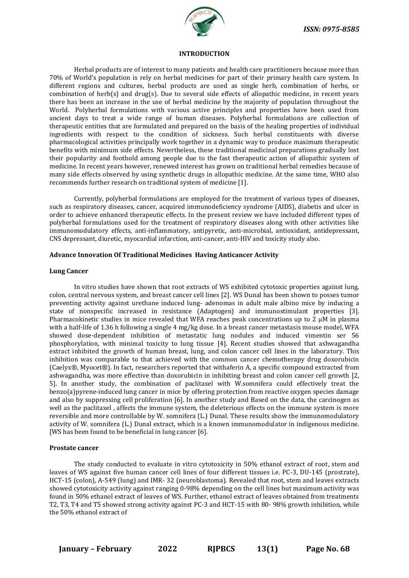

#### **INTRODUCTION**

Herbal products are of interest to many patients and health care practitioners because more than 70% of World's population is rely on herbal medicines for part of their primary health care system. In different regions and cultures, herbal products are used as single herb, combination of herbs, or combination of herb(s) and drug(s). Due to several side effects of allopathic medicine, in recent years there has been an increase in the use of herbal medicine by the majority of population throughout the World. Polyherbal formulations with various active principles and properties have been used from ancient days to treat a wide range of human diseases. Polyherbal formulations are collection of therapeutic entities that are formulated and prepared on the basis of the healing properties of individual ingredients with respect to the condition of sickness. Such herbal constituents with diverse pharmacological activities principally work together in a dynamic way to produce maximum therapeutic benefits with minimum side effects. Nevertheless, these traditional medicinal preparations gradually lost their popularity and foothold among people due to the fast therapeutic action of allopathic system of medicine. In recent years however, renewed interest has grown on traditional herbal remedies because of many side effects observed by using synthetic drugs in allopathic medicine. At the same time, WHO also recommends further research on traditional system of medicine [1].

Currently, polyherbal formulations are employed for the treatment of various types of diseases, such as respiratory diseases, cancer, acquired immunodeficiency syndrome (AIDS), diabetis and ulcer in order to achieve enhanced therapeutic effects. In the present review we have included different types of polyherbal formulations used for the treatment of respiratory diseases along with other activities like immunomodulatory effects, anti-inflammatory, antipyretic, anti-microbial, antioxidant, antidepressant, CNS depressant, diuretic, myocardial infarction, anti-cancer, anti-HIV and toxicity study also.

#### **Advance Innovation Of Traditional Medicines Having Anticancer Activity**

#### **Lung Cancer**

In vitro studies have shown that root extracts of WS exhibited cytotoxic properties against lung, colon, central nervous system, and breast cancer cell lines [2]. WS Dunal has been shown to posses tumor preventing activity against urethane induced lung- adenomas in adult male albino mice by inducing a state of nonspecific increased in resistance (Adaptogen) and immunostimulant properties [3]. Pharmacokinetic studies in mice revealed that WFA reaches peak concentrations up to 2 μM in plasma with a half-life of 1.36 h following a single 4 mg/kg dose. In a breast cancer metastasis mouse model, WFA showed dose-dependent inhibition of metastatic lung nodules and induced vimentin ser 56 phosphorylation, with minimal toxicity to lung tissue [4]. Recent studies showed that ashwagandha extract inhibited the growth of human breast, lung, and colon cancer cell lines in the laboratory. This inhibition was comparable to that achieved with the common cancer chemotherapy drug doxorubicin (Caelyx®, Myocet®). In fact, researchers reported that withaferin A, a specific compound extracted from ashwagandha, was more effective than doxorubicin in inhibiting breast and colon cancer cell growth [2, 5]. In another study, the combination of paclitaxel with W.somnifera could effectively treat the benzo(a)pyrene-induced lung cancer in mice by offering protection from reactive oxygen species damage and also by suppressing cell proliferation [6]. In another study and Based on the data, the carcinogen as well as the paclitaxel , affects the immune system, the deleterious effects on the immune system is more reversible and more controllable by W. somnifera (L.) Dunal. These results show the immunomodulatory activity of W. somnifera (L.) Dunal extract, which is a known immunomodulator in indigenous medicine. [WS has been found to be beneficial in lung cancer [6].

#### **Prostate cancer**

The study conducted to evaluate in vitro cytotoxicity in 50% ethanol extract of root, stem and leaves of WS against five human cancer cell lines of four different tissues i.e. PC-3, DU-145 (prostrate), HCT-15 (colon), A-549 (lung) and IMR- 32 (neuroblastoma). Revealed that root, stem and leaves extracts showed cytotoxicity activity against ranging 0-98% depending on the cell lines but maximum activity was found in 50% ethanol extract of leaves of WS. Further, ethanol extract of leaves obtained from treatments T2, T3, T4 and T5 showed strong activity against PC-3 and HCT-15 with 80- 98% growth inhibition, while the 50% ethanol extract of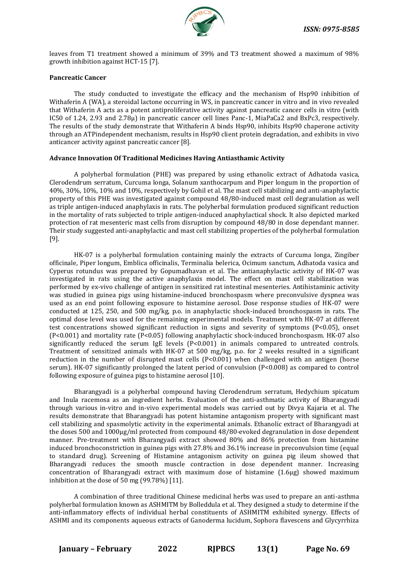

leaves from T1 treatment showed a minimum of 39% and T3 treatment showed a maximum of 98% growth inhibition against HCT-15 [7].

#### **Pancreatic Cancer**

The study conducted to investigate the efficacy and the mechanism of Hsp90 inhibition of Withaferin A (WA), a steroidal lactone occurring in WS, in pancreatic cancer in vitro and in vivo revealed that Withaferin A acts as a potent antiproliferative activity against pancreatic cancer cells in vitro (with IC50 of 1.24, 2.93 and 2.78μ) in pancreatic cancer cell lines Panc-1, MiaPaCa2 and BxPc3, respectively. The results of the study demonstrate that Withaferin A binds Hsp90, inhibits Hsp90 chaperone activity through an ATPindependent mechanism, results in Hsp90 client protein degradation, and exhibits in vivo anticancer activity against pancreatic cancer [8].

#### **Advance Innovation Of Traditional Medicines Having Antiasthamic Activity**

A polyherbal formulation (PHE) was prepared by using ethanolic extract of Adhatoda vasica, Clerodendrum serratum, Curcuma longa, Solanum xanthocarpum and Piper longum in the proportion of 40%, 30%, 10%, 10% and 10%, respectively by Gohil et al. The mast cell stabilizing and anti-anaphylactic property of this PHE was investigated against compound 48/80-induced mast cell degranulation as well as triple antigen-induced anaphylaxis in rats. The polyherbal formulation produced significant reduction in the mortality of rats subjected to triple antigen-induced anaphylactical shock. It also depicted marked protection of rat mesenteric mast cells from disruption by compound 48/80 in dose dependant manner. Their study suggested anti-anaphylactic and mast cell stabilizing properties of the polyherbal formulation [9].

HK-07 is a polyherbal formulation containing mainly the extracts of Curcuma longa, Zingiber officinale, Piper longum, Emblica officinalis, Terminalia belerica, Ocimum sanctum, Adhatoda vasica and Cyperus rotundus was prepared by Gopumadhavan et al. The antianaphylactic activity of HK-07 was investigated in rats using the active anaphylaxis model. The effect on mast cell stabilization was performed by ex-vivo challenge of antigen in sensitized rat intestinal mesenteries. Antihistaminic activity was studied in guinea pigs using histamine-induced bronchospasm where preconvulsive dyspnea was used as an end point following exposure to histamine aerosol. Dose response studies of HK-07 were conducted at 125, 250, and 500 mg/kg, p.o. in anaphylactic shock-induced bronchospasm in rats. The optimal dose level was used for the remaining experimental models. Treatment with HK-07 at different test concentrations showed significant reduction in signs and severity of symptoms (P<0.05), onset (P<0.001) and mortality rate (P<0.05) following anaphylactic shock-induced bronchospasm. HK-07 also significantly reduced the serum IgE levels (P<0.001) in animals compared to untreated controls. Treatment of sensitized animals with HK-07 at 500 mg/kg, p.o. for 2 weeks resulted in a significant reduction in the number of disrupted mast cells  $(P<0.001)$  when challenged with an antigen (horse serum). HK-07 significantly prolonged the latent period of convulsion (P<0.008) as compared to control following exposure of guinea pigs to histamine aerosol [10].

Bharangyadi is a polyherbal compound having Clerodendrum serratum, Hedychium spicatum and Inula racemosa as an ingredient herbs. Evaluation of the anti-asthmatic activity of Bharangyadi through various in-vitro and in-vivo experimental models was carried out by Divya Kajaria et al. The results demonstrate that Bharangyadi has potent histamine antagonism property with significant mast cell stabilizing and spasmolytic activity in the experimental animals. Ethanolic extract of Bharangyadi at the doses 500 and 1000μg/ml protected from compound 48/80-evoked degranulation in dose dependent manner. Pre-treatment with Bharangyadi extract showed 80% and 86% protection from histamine induced bronchoconstriction in guinea pigs with 27.8% and 36.1% increase in preconvulsion time (equal to standard drug). Screening of Histamine antagonism activity on guinea pig ileum showed that Bharangyadi reduces the smooth muscle contraction in dose dependent manner. Increasing concentration of Bharangyadi extract with maximum dose of histamine (1.6μg) showed maximum inhibition at the dose of 50 mg (99.78%) [11].

A combination of three traditional Chinese medicinal herbs was used to prepare an anti-asthma polyherbal formulation known as ASHMITM by Bolleddula et al. They designed a study to determine if the anti-inflammatory effects of individual herbal constituents of ASHMITM exhibited synergy. Effects of ASHMI and its components aqueous extracts of Ganoderma lucidum, Sophora flavescens and Glycyrrhiza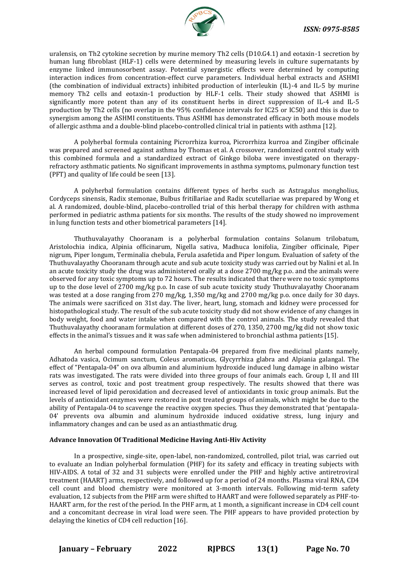

uralensis, on Th2 cytokine secretion by murine memory Th2 cells (D10.G4.1) and eotaxin-1 secretion by human lung fibroblast (HLF-1) cells were determined by measuring levels in culture supernatants by enzyme linked immunosorbent assay. Potential synergistic effects were determined by computing interaction indices from concentration-effect curve parameters. Individual herbal extracts and ASHMI (the combination of individual extracts) inhibited production of interleukin (IL)-4 and IL-5 by murine memory Th2 cells and eotaxin-1 production by HLF-1 cells. Their study showed that ASHMI is significantly more potent than any of its constituent herbs in direct suppression of IL-4 and IL-5 production by Th2 cells (no overlap in the 95% confidence intervals for IC25 or IC50) and this is due to synergism among the ASHMI constituents. Thus ASHMI has demonstrated efficacy in both mouse models of allergic asthma and a double-blind placebo-controlled clinical trial in patients with asthma [12].

A polyherbal formula containing Picrorrhiza kurroa, Picrorrhiza kurroa and Zingiber officinale was prepared and screened against asthma by Thomas et al. A crossover, randomized control study with this combined formula and a standardized extract of Ginkgo biloba were investigated on therapyrefractory asthmatic patients. No significant improvements in asthma symptoms, pulmonary function test (PFT) and quality of life could be seen [13].

A polyherbal formulation contains different types of herbs such as Astragalus mongholius, Cordyceps sinensis, Radix stemonae, Bulbus fritillariae and Radix scutellariae was prepared by Wong et al. A randomized, double-blind, placebo-controlled trial of this herbal therapy for children with asthma performed in pediatric asthma patients for six months. The results of the study showed no improvement in lung function tests and other biometrical parameters [14].

Thuthuvalayathy Chooranam is a polyherbal formulation contains Solanum trilobatum, Aristolochia indica, Alpinia officinarum, Nigella sativa, Madhuca lonifolia, Zingiber officinale, Piper nigrum, Piper longum, Terminalia chebula, Ferula asafetida and Piper longum. Evaluation of safety of the Thuthuvalayathy Chooranam through acute and sub acute toxicity study was carried out by Nalini et al. In an acute toxicity study the drug was administered orally at a dose 2700 mg/kg p.o. and the animals were observed for any toxic symptoms up to 72 hours. The results indicated that there were no toxic symptoms up to the dose level of 2700 mg/kg p.o. In case of sub acute toxicity study Thuthuvalayathy Chooranam was tested at a dose ranging from 270 mg/kg, 1,350 mg/kg and 2700 mg/kg p.o. once daily for 30 days. The animals were sacrificed on 31st day. The liver, heart, lung, stomach and kidney were processed for histopathological study. The result of the sub acute toxicity study did not show evidence of any changes in body weight, food and water intake when compared with the control animals. The study revealed that Thuthuvalayathy chooranam formulation at different doses of 270, 1350, 2700 mg/kg did not show toxic effects in the animal's tissues and it was safe when administered to bronchial asthma patients [15].

An herbal compound formulation Pentapala-04 prepared from five medicinal plants namely, Adhatoda vasica, Ocimum sanctum, Coleus aromaticus, Glycyrrhiza glabra and Alpiania galangal. The effect of "Pentapala-04" on ova albumin and aluminium hydroxide induced lung damage in albino wistar rats was investigated. The rats were divided into three groups of four animals each. Group I, II and III serves as control, toxic and post treatment group respectively. The results showed that there was increased level of lipid peroxidation and decreased level of antioxidants in toxic group animals. But the levels of antioxidant enzymes were restored in post treated groups of animals, which might be due to the ability of Pentapala-04 to scavenge the reactive oxygen species. Thus they demonstrated that 'pentapala-04' prevents ova albumin and aluminum hydroxide induced oxidative stress, lung injury and inflammatory changes and can be used as an antiasthmatic drug.

#### **Advance Innovation Of Traditional Medicine Having Anti-Hiv Activity**

In a prospective, single-site, open-label, non-randomized, controlled, pilot trial, was carried out to evaluate an Indian polyherbal formulation (PHF) for its safety and efficacy in treating subjects with HIV-AIDS. A total of 32 and 31 subjects were enrolled under the PHF and highly active antiretroviral treatment (HAART) arms, respectively, and followed up for a period of 24 months. Plasma viral RNA, CD4 cell count and blood chemistry were monitored at 3-month intervals. Following mid-term safety evaluation, 12 subjects from the PHF arm were shifted to HAART and were followed separately as PHF-to-HAART arm, for the rest of the period. In the PHF arm, at 1 month, a significant increase in CD4 cell count and a concomitant decrease in viral load were seen. The PHF appears to have provided protection by delaying the kinetics of CD4 cell reduction [16].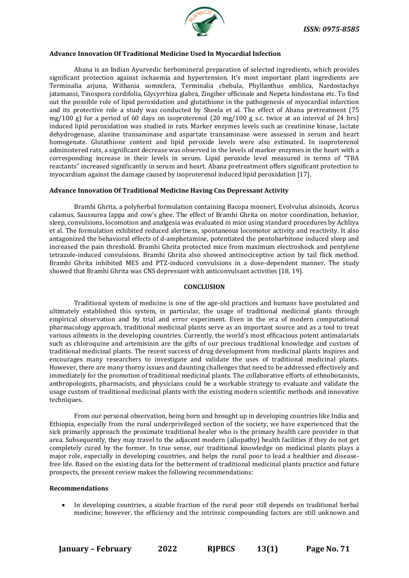

#### **Advance Innovation Of Traditional Medicine Used In Myocardial Infection**

Abana is an Indian Ayurvedic herbomineral preparation of selected ingredients, which provides significant protection against ischaemia and hypertension. It's most important plant ingredients are Terminalia arjuna, Withania somnifera, Terminalia chebula, Phyllanthus emblica, Nardostachys jatamansi, Tinospora cordifolia, Glycyrrhiza glabra, Zingiber officinale and Nepeta hindostana etc. To find out the possible role of lipid peroxidation and glutathione in the pathogenesis of myocardial infarction and its protective role a study was conducted by Sheela et al. The effect of Abana pretreatment (75 mg/100 g) for a period of 60 days on isoproterenol  $(20 \text{ mg}/100 \text{ g s.c.})$  twice at an interval of 24 hrs induced lipid peroxidation was studied in rats. Marker enzymes levels such as creatinine kinase, lactate dehydrogenase, alanine transaminase and aspartate transaminase were assessed in serum and heart homogenate. Glutathione content and lipid peroxide levels were also estimated. In isoproterenol administered rats, a significant decrease was observed in the levels of marker enzymes in the heart with a corresponding increase in their levels in serum. Lipid peroxide level measured in terms of "TBA reactants" increased significantly in serum and heart. Abana pretreatment offers significant protection to myocardium against the damage caused by isoproterenol induced lipid peroxidation [17].

#### **Advance Innovation Of Traditional Medicine Having Cns Depressant Activity**

Bramhi Ghrita, a polyherbal formulation containing Bacopa monneri, Evolvulus alsinoids, Acorus calamus, Saussurea lappa and cow's ghee. The effect of Bramhi Ghrita on motor coordination, behavior, sleep, convulsions, locomotion and analgesia was evaluated in mice using standard procedures by Achliya et al. The formulation exhibited reduced alertness, spontaneous locomotor activity and reactivity. It also antagonized the behavioral effects of d-amphetamine, potentiated the pentobarbitone induced sleep and increased the pain threshold. Bramhi Ghrita protected mice from maximum electroshock and pentylene tetrazole-induced convulsions. Bramhi Ghrita also showed antinociceptive action by tail flick method. Bramhi Ghrita inhibited MES and PTZ-induced convulsions in a dose-dependent manner. The study showed that Bramhi Ghrita was CNS depressant with anticonvulsant activities [18, 19].

#### **CONCLUSION**

Traditional system of medicine is one of the age-old practices and humans have postulated and ultimately established this system, in particular, the usage of traditional medicinal plants through empirical observation and by trial and error experiment. Even in the era of modern computational pharmacology approach, traditional medicinal plants serve as an important source and as a tool to treat various ailments in the developing countries. Currently, the world's most efficacious potent antimalarials such as chloroquine and artemisinin are the gifts of our precious traditional knowledge and custom of traditional medicinal plants. The recent success of drug development from medicinal plants inspires and encourages many researchers to investigate and validate the uses of traditional medicinal plants. However, there are many thorny issues and daunting challenges that need to be addressed effectively and immediately for the promotion of traditional medicinal plants. The collaborative efforts of ethnobotanists, anthropologists, pharmacists, and physicians could be a workable strategy to evaluate and validate the usage custom of traditional medicinal plants with the existing modern scientific methods and innovative techniques.

From our personal observation, being born and brought up in developing countries like India and Ethiopia, especially from the rural underprivileged section of the society, we have experienced that the sick primarily approach the proximate traditional healer who is the primary health care provider in that area. Subsequently, they may travel to the adjacent modern (allopathy) health facilities if they do not get completely cured by the former. In true sense, our traditional knowledge on medicinal plants plays a major role, especially in developing countries, and helps the rural poor to lead a healthier and diseasefree life. Based on the existing data for the betterment of traditional medicinal plants practice and future prospects, the present review makes the following recommendations:

#### **Recommendations**

• In developing countries, a sizable fraction of the rural poor still depends on traditional herbal medicine; however, the efficiency and the intrinsic compounding factors are still unknown and